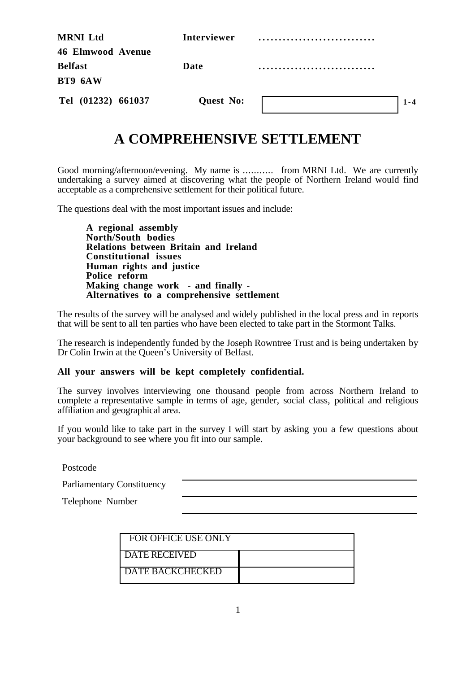| <b>MRNI</b> Ltd          | <b>Interviewer</b> |  |
|--------------------------|--------------------|--|
| <b>46 Elmwood Avenue</b> |                    |  |
| <b>Belfast</b>           | Date               |  |
| BT9 6AW                  |                    |  |
| Tel (01232) 661037       | Quest No:          |  |

# **A COMPREHENSIVE SETTLEMENT**

Good morning/afternoon/evening. My name is ........... from MRNI Ltd. We are currently undertaking a survey aimed at discovering what the people of Northern Ireland would find acceptable as a comprehensive settlement for their political future.

The questions deal with the most important issues and include:

**A regional assembly North/South bodies Relations between Britain and Ireland Constitutional issues Human rights and justice Police reform Making change work - and finally - Alternatives to a comprehensive settlement**

The results of the survey will be analysed and widely published in the local press and in reports that will be sent to all ten parties who have been elected to take part in the Stormont Talks.

The research is independently funded by the Joseph Rowntree Trust and is being undertaken by Dr Colin Irwin at the Queen's University of Belfast.

#### **All your answers will be kept completely confidential.**

The survey involves interviewing one thousand people from across Northern Ireland to complete a representative sample in terms of age, gender, social class, political and religious affiliation and geographical area.

If you would like to take part in the survey I will start by asking you a few questions about your background to see where you fit into our sample.

| Postcode                          |  |  |
|-----------------------------------|--|--|
| <b>Parliamentary Constituency</b> |  |  |
| Telephone Number                  |  |  |

| FOR OFFICE USE ONLY |  |
|---------------------|--|
| DATE RECEIVED       |  |
| DATE BACKCHECKED    |  |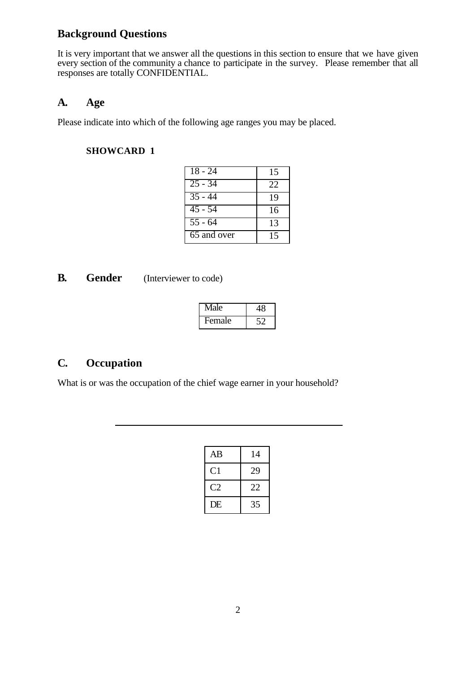# **Background Questions**

It is very important that we answer all the questions in this section to ensure that we have given every section of the community a chance to participate in the survey. Please remember that all responses are totally CONFIDENTIAL.

## **A. Age**

Please indicate into which of the following age ranges you may be placed.

## **SHOWCARD 1**

| $18 - 24$            | 15 |
|----------------------|----|
| $25 - 34$            | 22 |
| $\overline{35}$ - 44 | 19 |
| $45 - 54$            | 16 |
| $55 - 64$            | 13 |
| 65 and over          | 15 |

**B. Gender** (Interviewer to code)

| Male   |  |
|--------|--|
| Female |  |

## **C. Occupation**

What is or was the occupation of the chief wage earner in your household?

 $\overline{a}$ 

| AB             | 14 |
|----------------|----|
| C <sub>1</sub> | 29 |
| C2             | 22 |
| DE             | 35 |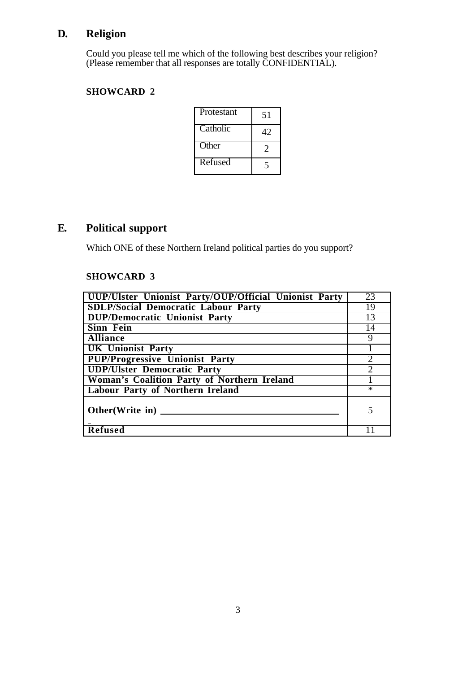# **D. Religion**

Could you please tell me which of the following best describes your religion? (Please remember that all responses are totally CONFIDENTIAL).

## **SHOWCARD 2**

| Protestant | 51 |
|------------|----|
| Catholic   | 42 |
| Other      |    |
| Refused    |    |

# **E. Political support**

Which ONE of these Northern Ireland political parties do you support?

## **SHOWCARD 3**

| UUP/Ulster Unionist Party/OUP/Official Unionist Party | 23     |
|-------------------------------------------------------|--------|
| <b>SDLP/Social Democratic Labour Party</b>            | 19     |
| <b>DUP/Democratic Unionist Party</b>                  | 13     |
| <b>Sinn Fein</b>                                      | 14     |
| <b>Alliance</b>                                       |        |
| <b>UK Unionist Party</b>                              |        |
| <b>PUP/Progressive Unionist Party</b>                 |        |
| <b>UDP/Ulster Democratic Party</b>                    |        |
| Woman's Coalition Party of Northern Ireland           |        |
| Labour Party of Northern Ireland                      | $\ast$ |
| Other (Write in) $\overline{\phantom{a}}$             |        |
| <b>Refused</b>                                        |        |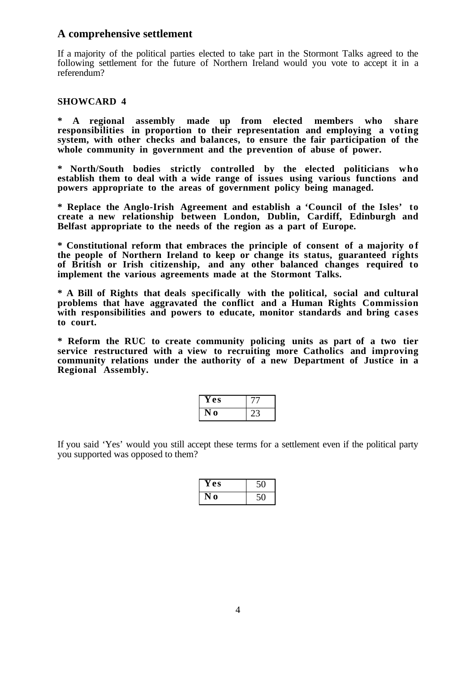## **A comprehensive settlement**

If a majority of the political parties elected to take part in the Stormont Talks agreed to the following settlement for the future of Northern Ireland would you vote to accept it in a referendum?

#### **SHOWCARD 4**

**\* A regional assembly made up from elected members who share responsibilities in proportion to their representation and employing a voting system, with other checks and balances, to ensure the fair participation of the whole community in government and the prevention of abuse of power.**

**\* North/South bodies strictly controlled by the elected politicians who establish them to deal with a wide range of issues using various functions and powers appropriate to the areas of government policy being managed.**

**\* Replace the Anglo-Irish Agreement and establish a 'Council of the Isles' to create a new relationship between London, Dublin, Cardiff, Edinburgh and Belfast appropriate to the needs of the region as a part of Europe.**

**\* Constitutional reform that embraces the principle of consent of a majority o f the people of Northern Ireland to keep or change its status, guaranteed rights of British or Irish citizenship, and any other balanced changes required to implement the various agreements made at the Stormont Talks.**

**\* A Bill of Rights that deals specifically with the political, social and cultural problems that have aggravated the conflict and a Human Rights Commission with responsibilities and powers to educate, monitor standards and bring cases to court.**

**\* Reform the RUC to create community policing units as part of a two tier service restructured with a view to recruiting more Catholics and improving community relations under the authority of a new Department of Justice in a Regional Assembly.**

| $e$ s |  |
|-------|--|
| 0     |  |

If you said 'Yes' would you still accept these terms for a settlement even if the political party you supported was opposed to them?

| Y es |  |
|------|--|
| "    |  |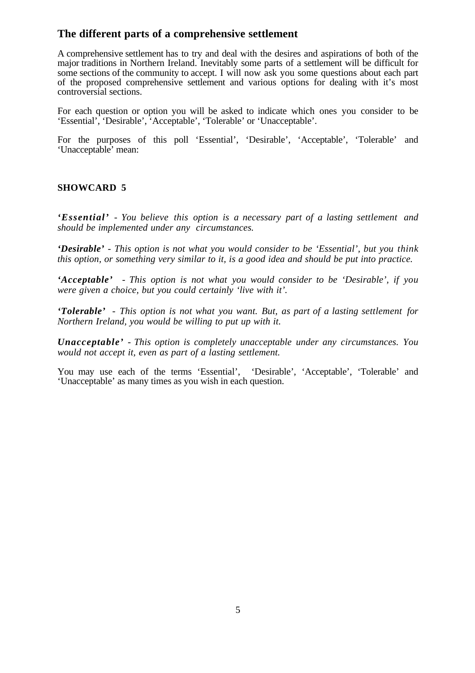## **The different parts of a comprehensive settlement**

A comprehensive settlement has to try and deal with the desires and aspirations of both of the major traditions in Northern Ireland. Inevitably some parts of a settlement will be difficult for some sections of the community to accept. I will now ask you some questions about each part of the proposed comprehensive settlement and various options for dealing with it's most controversial sections.

For each question or option you will be asked to indicate which ones you consider to be 'Essential', 'Desirable', 'Acceptable', 'Tolerable' or 'Unacceptable'.

For the purposes of this poll 'Essential', 'Desirable', 'Acceptable', 'Tolerable' and 'Unacceptable' mean:

#### **SHOWCARD 5**

*'Essential' - You believe this option is a necessary part of a lasting settlement and should be implemented under any circumstances.*

*'Desirable' - This option is not what you would consider to be 'Essential', but you think this option, or something very similar to it, is a good idea and should be put into practice.*

*'Acceptable' - This option is not what you would consider to be 'Desirable', if you were given a choice, but you could certainly 'live with it'.*

*'Tolerable' - This option is not what you want. But, as part of a lasting settlement for Northern Ireland, you would be willing to put up with it.*

*Unacceptable' - This option is completely unacceptable under any circumstances. You would not accept it, even as part of a lasting settlement.*

You may use each of the terms 'Essential', 'Desirable', 'Acceptable', 'Tolerable' and 'Unacceptable' as many times as you wish in each question.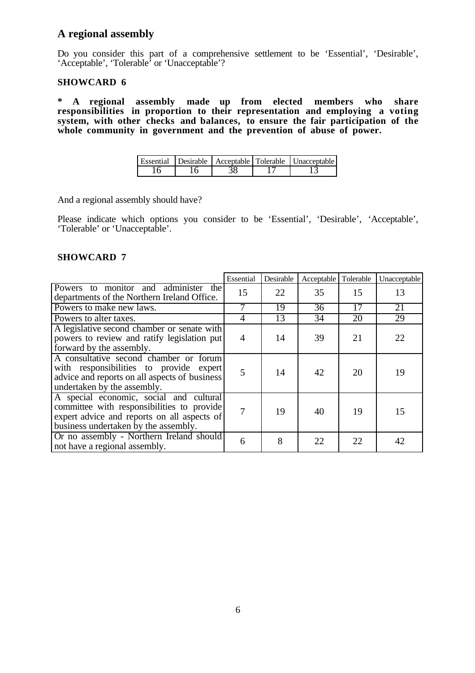## **A regional assembly**

Do you consider this part of a comprehensive settlement to be 'Essential', 'Desirable', 'Acceptable', 'Tolerable' or 'Unacceptable'?

#### **SHOWCARD 6**

**\* A regional assembly made up from elected members who share responsibilities in proportion to their representation and employing a voting system, with other checks and balances, to ensure the fair participation of the whole community in government and the prevention of abuse of power.**

|  |  | Essential Desirable Acceptable Tolerable Unacceptable |
|--|--|-------------------------------------------------------|
|  |  |                                                       |

And a regional assembly should have?

Please indicate which options you consider to be 'Essential', 'Desirable', 'Acceptable', 'Tolerable' or 'Unacceptable'.

#### **SHOWCARD 7**

|                                                                                                                                                                              | Essential | Desirable | Acceptable | Tolerable | Unacceptable |
|------------------------------------------------------------------------------------------------------------------------------------------------------------------------------|-----------|-----------|------------|-----------|--------------|
| Powers to monitor and administer<br>the I<br>departments of the Northern Ireland Office.                                                                                     | 15        | 22        | 35         | 15        | 13           |
| Powers to make new laws.                                                                                                                                                     |           | 19        | 36         | 17        | 21           |
| Powers to alter taxes.                                                                                                                                                       | 4         | 13        | 34         | 20        | 29           |
| A legislative second chamber or senate with<br>powers to review and ratify legislation put<br>forward by the assembly.                                                       | 4         | 14        | 39         | 21        | 22           |
| A consultative second chamber or forum<br>with responsibilities to provide expert<br>advice and reports on all aspects of business<br>undertaken by the assembly.            | 5         | 14        | 42         | 20        | 19           |
| A special economic, social and cultural<br>committee with responsibilities to provide<br>expert advice and reports on all aspects of<br>business undertaken by the assembly. | 7         | 19        | 40         | 19        | 15           |
| Or no assembly - Northern Ireland should<br>not have a regional assembly.                                                                                                    | 6         | 8         | 22         | 22        | 42           |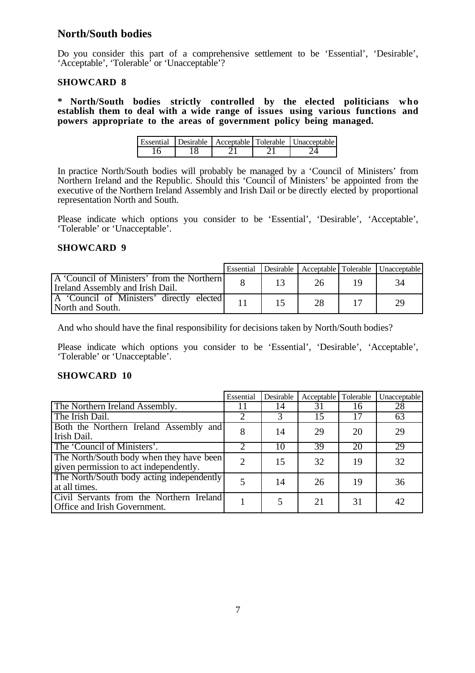## **North/South bodies**

Do you consider this part of a comprehensive settlement to be 'Essential', 'Desirable', 'Acceptable', 'Tolerable' or 'Unacceptable'?

#### **SHOWCARD 8**

**\* North/South bodies strictly controlled by the elected politicians who establish them to deal with a wide range of issues using various functions and powers appropriate to the areas of government policy being managed.**

|  |  | Essential Desirable Acceptable Tolerable Unacceptable |
|--|--|-------------------------------------------------------|
|  |  |                                                       |

In practice North/South bodies will probably be managed by a 'Council of Ministers' from Northern Ireland and the Republic. Should this 'Council of Ministers' be appointed from the executive of the Northern Ireland Assembly and Irish Dail or be directly elected by proportional representation North and South.

Please indicate which options you consider to be 'Essential', 'Desirable', 'Acceptable', 'Tolerable' or 'Unacceptable'.

#### **SHOWCARD 9**

|                                                                                | Essential |    | Desirable   Acceptable   Tolerable   Unacceptable |
|--------------------------------------------------------------------------------|-----------|----|---------------------------------------------------|
| A 'Council of Ministers' from the Northern<br>Ireland Assembly and Irish Dail. |           | 26 | 34                                                |
| A 'Council of Ministers' directly elected<br>North and South.                  |           | 28 | 29                                                |

And who should have the final responsibility for decisions taken by North/South bodies?

Please indicate which options you consider to be 'Essential', 'Desirable', 'Acceptable', 'Tolerable' or 'Unacceptable'.

#### **SHOWCARD 10**

|                                                                                    | Essential      | Desirable | Acceptable | Tolerable | Unacceptable |
|------------------------------------------------------------------------------------|----------------|-----------|------------|-----------|--------------|
| The Northern Ireland Assembly.                                                     |                | 14        | 31         | 16        | 28           |
| The Irish Dail.                                                                    |                |           | 15         |           | 63           |
| Both the Northern Ireland Assembly and<br>Irish Dail.                              | 8              | 14        | 29         | 20        | 29           |
| The 'Council of Ministers'.                                                        |                | 10        | 39         | 20        | 29           |
| The North/South body when they have been<br>given permission to act independently. | $\overline{2}$ | 15        | 32         | 19        | 32           |
| The North/South body acting independently<br>at all times.                         | 5              | 14        | 26         | 19        | 36           |
| Civil Servants from the Northern Ireland<br>Office and Irish Government.           |                | 5         | 21         | 31        | 42           |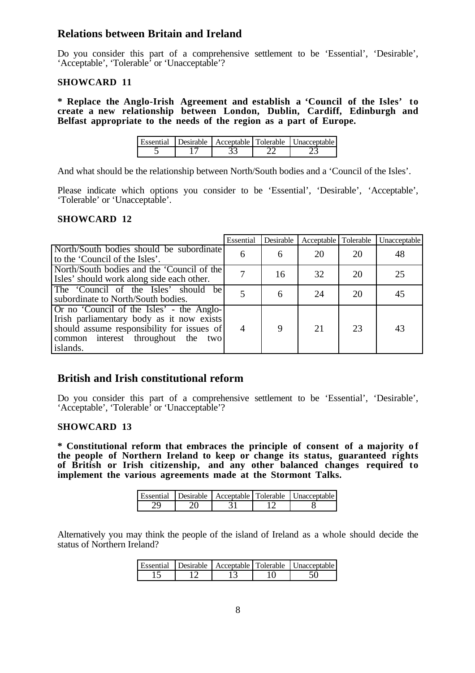## **Relations between Britain and Ireland**

Do you consider this part of a comprehensive settlement to be 'Essential', 'Desirable', 'Acceptable', 'Tolerable' or 'Unacceptable'?

#### **SHOWCARD 11**

**\* Replace the Anglo-Irish Agreement and establish a 'Council of the Isles' to create a new relationship between London, Dublin, Cardiff, Edinburgh and Belfast appropriate to the needs of the region as a part of Europe.**

|  |  | Essential Desirable Acceptable Tolerable Unacceptable |
|--|--|-------------------------------------------------------|
|  |  |                                                       |

And what should be the relationship between North/South bodies and a 'Council of the Isles'.

Please indicate which options you consider to be 'Essential', 'Desirable', 'Acceptable', 'Tolerable' or 'Unacceptable'.

#### **SHOWCARD 12**

|                                                                                                                                                                                        | Essential      | Desirable | Acceptable Tolerable |    | Unacceptable |
|----------------------------------------------------------------------------------------------------------------------------------------------------------------------------------------|----------------|-----------|----------------------|----|--------------|
| North/South bodies should be subordinate<br>to the 'Council of the Isles'.                                                                                                             | 6              | 6         | 20                   | 20 | 48           |
| North/South bodies and the 'Council of the<br>Isles' should work along side each other.                                                                                                | 7              | 16        | 32                   | 20 | 25           |
| The 'Council of the Isles' should be<br>subordinate to North/South bodies.                                                                                                             |                | 6         | 24                   | 20 | 45           |
| Or no 'Council of the Isles' - the Anglo-<br>Irish parliamentary body as it now exists<br>should assume responsibility for issues of<br>common interest throughout the two<br>islands. | $\overline{4}$ | 9         | 21                   | 23 | 43           |

### **British and Irish constitutional reform**

Do you consider this part of a comprehensive settlement to be 'Essential', 'Desirable', 'Acceptable', 'Tolerable' or 'Unacceptable'?

#### **SHOWCARD 13**

**\* Constitutional reform that embraces the principle of consent of a majority o f the people of Northern Ireland to keep or change its status, guaranteed rights of British or Irish citizenship, and any other balanced changes required to implement the various agreements made at the Stormont Talks.**

|  |  | Essential Desirable Acceptable Tolerable Unacceptable |
|--|--|-------------------------------------------------------|
|  |  |                                                       |

Alternatively you may think the people of the island of Ireland as a whole should decide the status of Northern Ireland?

|  |  | <b>Essential</b> Desirable Acceptable Tolerable Unacceptable |
|--|--|--------------------------------------------------------------|
|  |  |                                                              |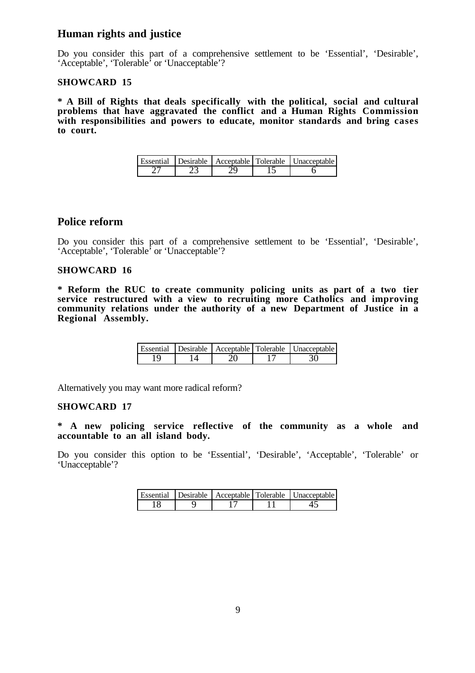## **Human rights and justice**

Do you consider this part of a comprehensive settlement to be 'Essential', 'Desirable', 'Acceptable', 'Tolerable' or 'Unacceptable'?

#### **SHOWCARD 15**

**\* A Bill of Rights that deals specifically with the political, social and cultural problems that have aggravated the conflict and a Human Rights Commission with responsibilities and powers to educate, monitor standards and bring cases to court.**

|  |  | Essential Desirable Acceptable Tolerable Unacceptable |
|--|--|-------------------------------------------------------|
|  |  |                                                       |

#### **Police reform**

Do you consider this part of a comprehensive settlement to be 'Essential', 'Desirable', 'Acceptable', 'Tolerable' or 'Unacceptable'?

#### **SHOWCARD 16**

**\* Reform the RUC to create community policing units as part of a two tier service restructured with a view to recruiting more Catholics and improving community relations under the authority of a new Department of Justice in a Regional Assembly.**

|  |  | Essential Desirable Acceptable Tolerable Unacceptable |
|--|--|-------------------------------------------------------|
|  |  |                                                       |

Alternatively you may want more radical reform?

#### **SHOWCARD 17**

**\* A new policing service reflective of the community as a whole and accountable to an all island body.**

Do you consider this option to be 'Essential', 'Desirable', 'Acceptable', 'Tolerable' or 'Unacceptable'?

|  |  | Essential Desirable Acceptable Tolerable Unacceptable |
|--|--|-------------------------------------------------------|
|  |  |                                                       |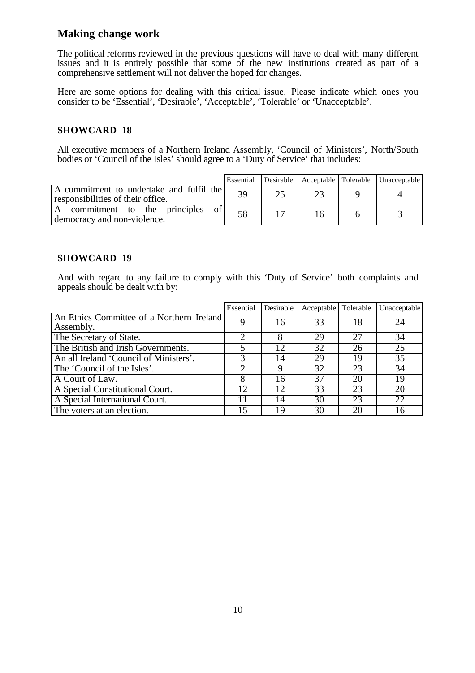## **Making change work**

The political reforms reviewed in the previous questions will have to deal with many different issues and it is entirely possible that some of the new institutions created as part of a comprehensive settlement will not deliver the hoped for changes.

Here are some options for dealing with this critical issue. Please indicate which ones you consider to be 'Essential', 'Desirable', 'Acceptable', 'Tolerable' or 'Unacceptable'.

#### **SHOWCARD 18**

All executive members of a Northern Ireland Assembly, 'Council of Ministers', North/South bodies or 'Council of the Isles' should agree to a 'Duty of Service' that includes:

|                                                                               | Essential | Desirable | Acceptable Tolerable | Unacceptable |
|-------------------------------------------------------------------------------|-----------|-----------|----------------------|--------------|
| A commitment to undertake and fulfil the<br>responsibilities of their office. | 39        |           |                      |              |
| commitment to the principles<br>- of I<br>democracy and non-violence.         | 58        |           |                      |              |

#### **SHOWCARD 19**

And with regard to any failure to comply with this 'Duty of Service' both complaints and appeals should be dealt with by:

|                                                        | Essential | Desirable | Acceptable | Tolerable | Unacceptable    |
|--------------------------------------------------------|-----------|-----------|------------|-----------|-----------------|
| An Ethics Committee of a Northern Ireland<br>Assembly. | Q         | 16        | 33         | 18        | 24              |
| The Secretary of State.                                |           |           | 29         |           | 34              |
| The British and Irish Governments.                     |           | 12        | 32         | 26        | 25              |
| An all Ireland 'Council of Ministers'.                 |           | 14        | 29         | 19        | $\overline{35}$ |
| The 'Council of the Isles'.                            |           | 9         | 32         | 23        | 34              |
| A Court of Law.                                        |           | 16        | 37         | 20        | 19              |
| A Special Constitutional Court.                        | 12        | 12        | 33         | 23        | 20              |
| A Special International Court.                         |           | 14        | 30         | 23        | 22              |
| The voters at an election.                             | 15        | - 9       | 30         | 20        | 16              |